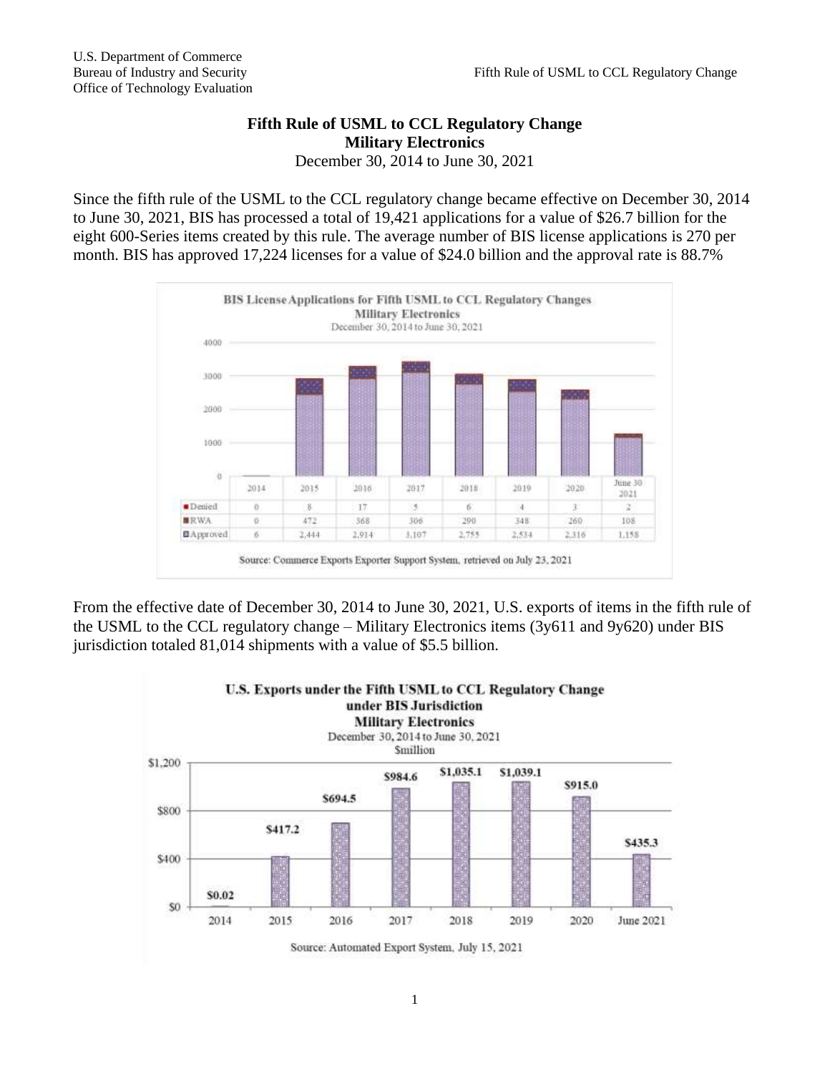## **Fifth Rule of USML to CCL Regulatory Change Military Electronics** December 30, 2014 to June 30, 2021

Since the fifth rule of the USML to the CCL regulatory change became effective on December 30, 2014 to June 30, 2021, BIS has processed a total of 19,421 applications for a value of \$26.7 billion for the eight 600-Series items created by this rule. The average number of BIS license applications is 270 per month. BIS has approved 17,224 licenses for a value of \$24.0 billion and the approval rate is 88.7%



From the effective date of December 30, 2014 to June 30, 2021, U.S. exports of items in the fifth rule of the USML to the CCL regulatory change – Military Electronics items (3y611 and 9y620) under BIS jurisdiction totaled 81,014 shipments with a value of \$5.5 billion.

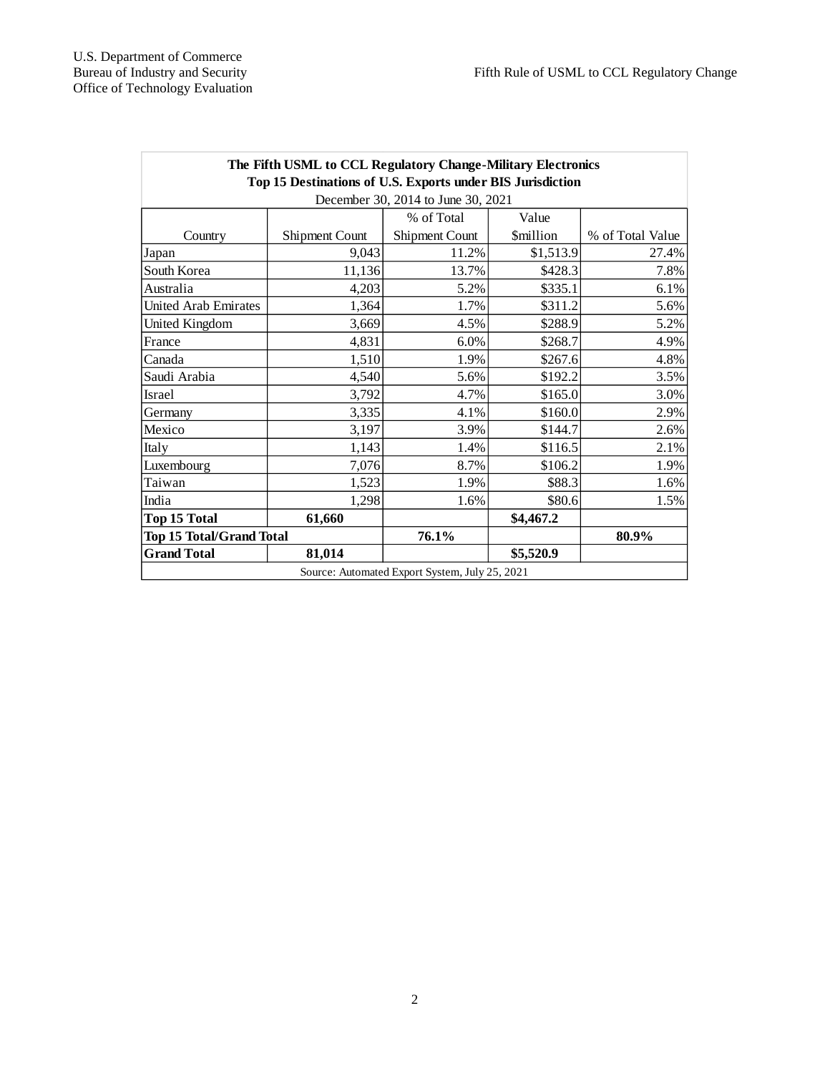| The Fifth USML to CCL Regulatory Change-Military Electronics<br>Top 15 Destinations of U.S. Exports under BIS Jurisdiction |                |                |                         |                  |
|----------------------------------------------------------------------------------------------------------------------------|----------------|----------------|-------------------------|------------------|
| December 30, 2014 to June 30, 2021                                                                                         |                |                |                         |                  |
|                                                                                                                            |                | % of Total     | Value                   |                  |
| Country                                                                                                                    | Shipment Count | Shipment Count | <i><b>\$million</b></i> | % of Total Value |
| Japan                                                                                                                      | 9,043          | 11.2%          | \$1,513.9               | 27.4%            |
| South Korea                                                                                                                | 11,136         | 13.7%          | \$428.3                 | 7.8%             |
| Australia                                                                                                                  | 4,203          | 5.2%           | \$335.1                 | 6.1%             |
| United Arab Emirates                                                                                                       | 1,364          | 1.7%           | \$311.2                 | 5.6%             |
| United Kingdom                                                                                                             | 3,669          | 4.5%           | \$288.9                 | 5.2%             |
| France                                                                                                                     | 4,831          | 6.0%           | \$268.7                 | 4.9%             |
| Canada                                                                                                                     | 1,510          | 1.9%           | \$267.6                 | 4.8%             |
| Saudi Arabia                                                                                                               | 4,540          | 5.6%           | \$192.2                 | 3.5%             |
| <b>Israel</b>                                                                                                              | 3,792          | 4.7%           | \$165.0                 | 3.0%             |
| Germany                                                                                                                    | 3,335          | 4.1%           | \$160.0                 | 2.9%             |
| Mexico                                                                                                                     | 3,197          | 3.9%           | \$144.7                 | 2.6%             |
| Italy                                                                                                                      | 1,143          | 1.4%           | \$116.5                 | 2.1%             |
| Luxembourg                                                                                                                 | 7,076          | 8.7%           | \$106.2                 | 1.9%             |
| Taiwan                                                                                                                     | 1,523          | 1.9%           | \$88.3                  | 1.6%             |
| India                                                                                                                      | 1,298          | 1.6%           | \$80.6                  | 1.5%             |
| <b>Top 15 Total</b>                                                                                                        | 61,660         |                | \$4,467.2               |                  |
| <b>Top 15 Total/Grand Total</b>                                                                                            |                | 76.1%          |                         | 80.9%            |
| <b>Grand Total</b>                                                                                                         | 81,014         |                | \$5,520.9               |                  |
| Source: Automated Export System, July 25, 2021                                                                             |                |                |                         |                  |